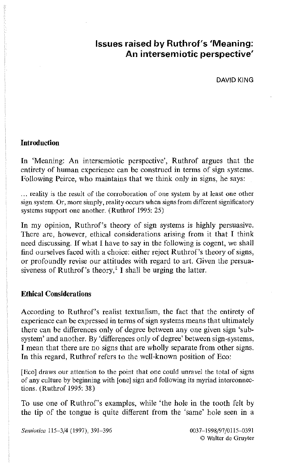# **Issues raised by Ruthrof's 'Meaning: An intersemiotic perspective'**

DAVID KING

## **Introduction**

In 'Meaning: An intersemiotic perspective', Ruthrof argues that the **entirety of human experience can be construed in terms of sign systems.**  Following Peirce, who maintains that we think only in signs, he says:

**... reality is the result of the corroboration of one system by at least one other sign system. Or, more simply, reality occurs when signs from different significatory systems support one another. (Ruthrof 1995: 25)** 

In my opinion, Ruthrof's theory of sign systems is highly persuasive, There are, however, ethical considerations arising from it that I think need discussing, **If** what I have to say in the following is cogent, we shall find ourselves faced with a choice: either reject Ruthrof's theory of signs, or profoundly revise our attitudes with regard to art. Given the persuasiveness of Ruthrof's theory,<sup> $1$ </sup> I shall be urging the latter,

## **Ethical Considerations**

According to Ruthrof's realist textualism, the fact that the entirety of experience can be expressed in terms of sign systems means that ultimately there can be differences only of degree between anyone given sign 'subsystem' and another. By 'differences only of degree' between sign-systems, I mean that there are no signs that are wholly separate from other signs, In this regard, Ruthrof refers to the well-known position of Eco:

**[Eca] draws our attention to the point that one could unravel the total of signs of any culture by beginning with [one] sign and following its myriad interconnec**tions, (Ruthrof 1995: 38)

To use one of Ruthrof's examples, while 'the hole in the tooth felt by the tip of the tongue is quite different from the 'same' hole seen in a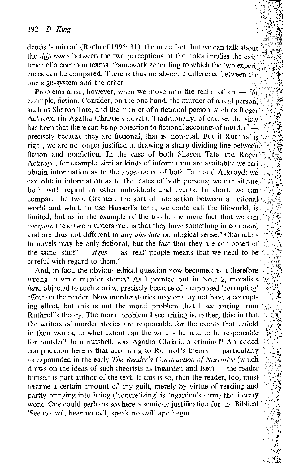dentist's mirror' (Ruthrof 1995: 31), the mere fact that we can talk about the *difference* between the two perceptions of the holes implies the existence of a common textual framework according to which the two experiences can be compared. There is thus no absolute difference between the one sign-system and the other.

Problems arise, however, when we move into the realm of art  $-$  for example, fiction. Consider, on the one hand, the murder of a real person, such as Sharon Tate, and the murder of a fictional person, such as Roger Ackroyd (in Agatha Christie's novel). Traditionally, of course, the view has been that there can be no objection to fictional accounts of murder<sup>2</sup>  $\equiv$ precisely because they are fictional, that is, non-real. But if Ruthrof is right, we are no longer justified in drawing a sharp dividing line between fiction and nonfiction. In the case of both Sharon Tate and Roger Ackroyd, for example, similar kinds of information are available: we can obtain information as to the appearance of both Tate and Ackroyd; we **can obtain information as to the tastes of both persons; we can situate**  both with regard to other individuals and events. In short, we can compare the two. Granted, the sort of interaction between a fictional world and what, to use Husserl's term, we could call the lifeworld, is limited; but as in the example of the tooth, the mere fact that we can *compare* these two murders means that they have something in common, and are thus not different in any *absolute* ontological sense.<sup>3</sup> Characters in novels may be only fictional, but the fact that they are composed of the same 'stuff'  $-$  *signs*  $-$  as 'real' people means that we need to be careful with regard to them.<sup>4</sup>

And, in fact, the obvious ethical question now becomes: is it therefore wrong to write murder stories? As I pointed out in Note 2, moralists *have* objected to such stories, precisely because of a supposed 'corrupting' effect on the reader. Now murder stories mayor may not have a corrupting effect, but this is not the moral problem that I see arising from Ruthrof's theory. The moral problem I see arising is, rather, this: in that the writers of murder stories are responsible for the events that unfold in their works, to what extent can the writers be said to be responsible for murder? In a nutshell, was Agatha Christie a criminal? An added complication here is that according to Ruthrof's theory  $-$  particularly as expounded in the early *The Reader's Construction of Narrative* (which draws on the ideas of such theorists as Ingarden and Iser)  $-$  the reader himself is part-author of the text. If this is so, then the reader, too, must assume a certain amount of any guilt, merely by virtue of reading and partly bringing into being ('concretizing' is Ingarden's term) the literary work. One could perhaps see here a semiotic justification for the Biblical **'See no evil, hear no evil, speak no evil' apothegm.**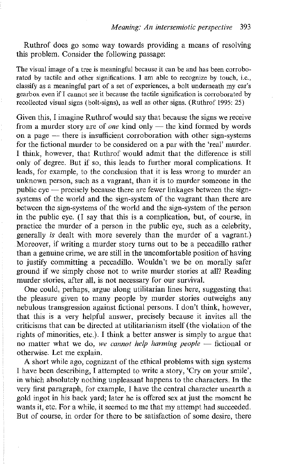Ruthrof does go some way towards providing a means of resolving this problem. Consider the following passage:

**The visual image of a tree is meaningful because it can be and has been corrobo**rated by tactile and other significations. I am able to recognize by touch, i.e., **classify as a meaningful part of a set of experiences, a bolt underneath my car's gearbox even** if I **cannot see it because the tactile signification is corroborated by**  recollected visual signs (bolt-signs), as well as other signs. (Ruthrof 1995: 25)

Given this, I imagine Ruthrof would say that because the signs we receive from a murder story are of *one* kind only — the kind formed by words on a page  $-$  there is insufficient corroboration with other sign-systems for the fictional murder to be considered on a par with the 'real' murder. I think, however, that Ruthrof would admit that the difference is still only of degree. But if so, this leads to further moral complications. It leads, for example, to the conclusion that it is less wrong to murder an **unknown person, such as a vagrant, than it is to murder someone in the**  public eye — precisely because there are fewer linkages between the signsystems of the world and the sign-system of the vagrant than there are between the sign-systems of the world and the sign-system of the person in the public eye. (I say that this is a complication, but, of course, in practice the murder of a person in the public eye, such as a celebrity, generally is dealt with more severely than the murder of a vagrant.) Moreover, if writing a murder story turns out to be a peccadillo rather than a genuine crime, we are still in the nncomfortable position of having to justify committing a peccadillo. Wouldn't we be on morally safer ground if we simply chose not to write murder stories at all? Reading **murder stories, after all, is not necessary for our survival.** 

One could, perhaps, argue along utilitarian lines here, suggesting that the pleasure given to many people by murder stories outweighs any nebulous transgression against fictional persons. I don't think, however, that this is a very helpful answer, precisely because it invites all the criticisms that can be directed at utilitarianism itself (the violation of the rights of minorities, etc.). I think a better answer is simply to argue that no matter what we do, *we cannot help harming people* — fictional or otherwise. Let me explain.

A short while ago, cognizant of the ethical problems with sign systems I have been describing, I attempted to write a story, 'Cry on your smile', in which absolutely nothing unpleasant happens to the characters. In the very first paragraph, for example, I have the central character unearth a gold ingot in his back yard; later he is offered sex at just the moment he wants it, etc. For a while, it seemed to me that my attempt had succeeded. But of conrse, in order for there to be satisfaction of some desire, there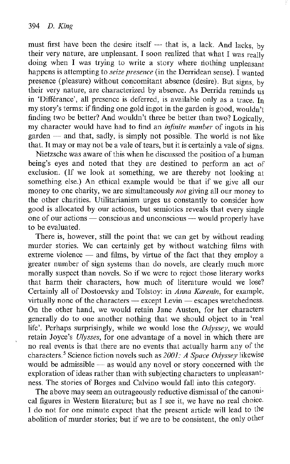must first have been the desire itself  $-$  that is, a lack. And lacks, by their very nature, are unpleasant. I soon realized that what I was really doing when I was trying to write a story where nothing unpleasant happens is attempting to *seize presence* (in the Derridean sense). I wanted presence (pleasure) without concomitant absence (desire). But signs, by their very nature, are characterized by absence. As Derrida reminds us in 'Differance', all presence is deferred, is available only as a trace. In my story's terms: if finding one gold ingot in the garden is good, wouldn't finding two be better? And wouldn't three be better than two? Logically, my character would have had to find an *infinite number* of ingots in his garden  $-$  and that, sadly, is simply not possible. The world is not like that. It mayor may not be a vale of tears, but it is certainly a vale of signs.

Nietzsche was aware of this when he discussed the position of a human being's eyes and noted that they are destined to perform an act of exclusion. (If we look at something, we are thereby not looking at something else.) An ethical example would be that if we give all our **money to one charity, we are simultaneously** *not* **giving all our money to**  the other charities. Utilitarianism urges us constantly to consider how good is allocated by our actions, but semiotics reveals that every single **one of our actions - conscious and unconscious - would properly have**  to be evaluated.

There is, however, still the point that we can get by without reading murder stories. We can certainly get by without watching films with extreme violence  $-$  and films, by virtue of the fact that they employ a greater number of sign systems than do novels, are clearly much more morally suspect than novels. So if we were to reject those literary works that harm their characters, how much of literature would we lose? Certainly all of Dostoevsky and Tolstoy: in *Anna Karenin,* for example, virtually none of the characters  $-$  except Levin  $-$  escapes wretchedness. On the other hand, we would retain Jane Austen, for her characters generally do to one another nothing that we should object to in 'real life'. Perhaps surprisingly, while we would lose the *Odyssey,* we would retain Joyce's *Ulysses,* for one advantage of a novel in which there are no real events is that there are no events that actually harm any of the characters. 5 Science fiction novels such as *200 I: A Space Odyssey* likewise would be admissible  $-$  as would any novel or story concerned with the exploration of ideas rather than with subjecting characters to unpleasantness. The stories of Borges and Calvino would fall into this category.

**The above may seem an outrageously reductive dismissal of the** canoni~ **cal figures in Western literature; but as I see it, we have no real choice.**  I do not for one minute expect that the present article will lead to the abolition of murder stories; but if we are to be consistent, the only other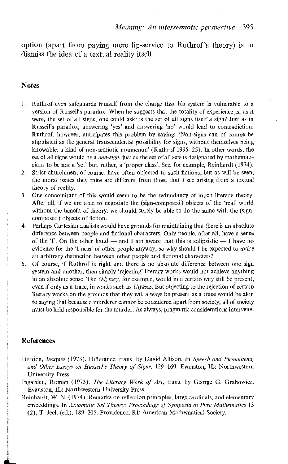option (apart from paying mere lip-service to Ruthrof's theory) is to dismiss the idea of a textual reality itself.

#### Notes

- 1. Ruthrof even safeguards himself from the charge that his system is vulnerable to a version of Russell's paradox. When he suggests that the totality of experience is, as it were, the set of all signs, one could ask: is the set of all signs itself a sign? Just as in Russell's paradox, answering 'yes' and answering 'no' would lead to contradiction. Ruthrof, however, anticipates this problem by saying: 'Non-signs can of eourse be stipulated as the general transcendental possibility for signs, withont themselves being knowable: a kind of non-semiotic nonmenon' (Ruthrof 1995: 25). **In** other words, the set of all signs would be a *non-sign,* just as the set of all sets is designated by mathematicians to be not a 'set' but, rather, a 'proper class'. See, for example, Reinhardt (1974).
- 2. Strict churchmen, of course, have often objected to such fictions; but as will be seen, the moral issues they raise are different from those that I see arising from a textual theory of reality.
- 3. One concomitant of this would seem to be the redundancy of much literary theory. After all, if we are able to negotiate the (sign-composed) objects of the 'real' world without the benefit of theory, we should surely be able to do the same with the (signcomposed) objects of fiction.
- 4. Perhaps Cartesian dualists would have grounds for maintaining that there is an absolute difference between people and fictional characters. Only people, after all, have a sense of the 'I'. On the other hand  $-$  and I am aware that this is solipsistic  $-1$  have no evidence for the 'I-ness' of other people anyway, so why should I be expected to make an arbitrary distinction between other people and fictional characters?
- 5. Of course, if Ruthrof is right and there is no absolute difference between onc sign system and another, then simply 'rejecting' literary works would not achieve anything in an absolute sense. The *Odyssey,* for example, would in a certain way still be present, even if only as a trace, in works such as *Ulysses.* But objecting to the rejection of certain literary works on the grounds that they will always be present as a trace would be akin to saying that because a murderer cannot be considered apart from society, all of society must be held responsible for the murder. As always, pragmatic considerations intervene.

#### References

**-**

- Derrida, Jacques (1973). Difierance, trans. by David Allison. In *Speech and Phenomena,*  and Other Essays on Husserl's Theory of Signs, 129-160. Evanston, IL: Northwestern University Press.
- Ingarden, Roman (1973). *The Literary Work of Art,* trans. by George G. Grabowicz. Evanston, IL: Northwestern University Press.
- Reinhardt, W. N. (1974). Remarks on reflection principles, large cardinals, and elementary embeddings. In *Axiomatic Set Theory: Proceedings of Symposia in Pure Mathematics 13*  (2), T. Jech (ed.), 189-205. Providence, RI: American Mathematical Society.